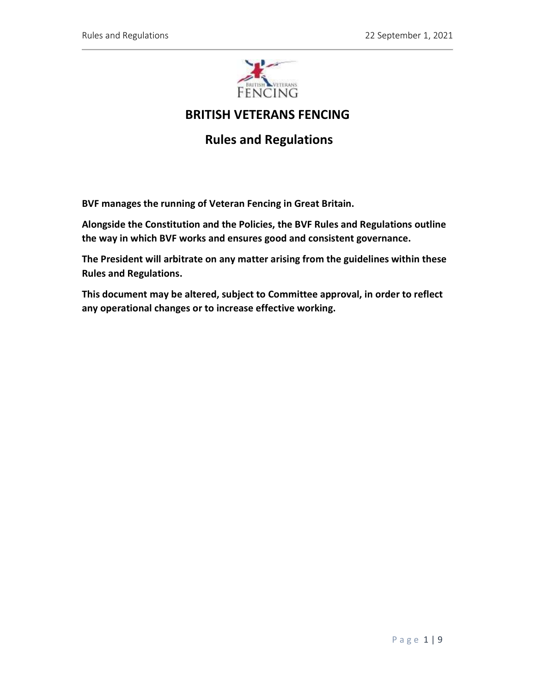

# BRITISH VETERANS FENCING

# Rules and Regulations

BVF manages the running of Veteran Fencing in Great Britain.

Alongside the Constitution and the Policies, the BVF Rules and Regulations outline the way in which BVF works and ensures good and consistent governance.

The President will arbitrate on any matter arising from the guidelines within these Rules and Regulations.

This document may be altered, subject to Committee approval, in order to reflect any operational changes or to increase effective working.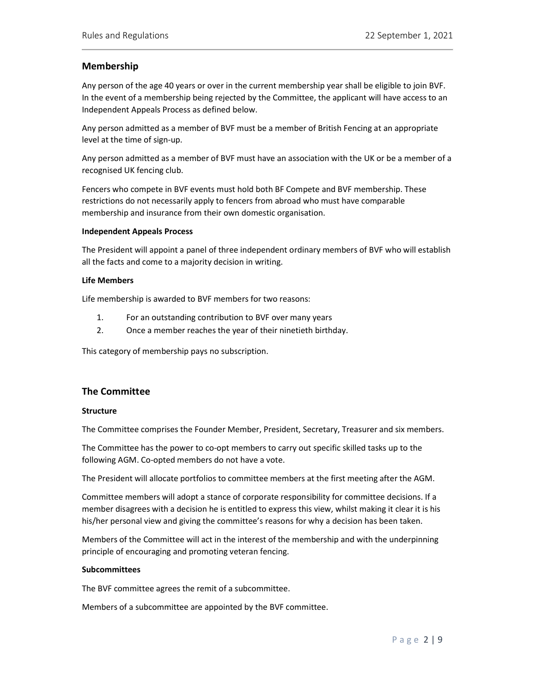# Membership

Any person of the age 40 years or over in the current membership year shall be eligible to join BVF. In the event of a membership being rejected by the Committee, the applicant will have access to an Independent Appeals Process as defined below.

Any person admitted as a member of BVF must be a member of British Fencing at an appropriate level at the time of sign-up.

Any person admitted as a member of BVF must have an association with the UK or be a member of a recognised UK fencing club.

Fencers who compete in BVF events must hold both BF Compete and BVF membership. These restrictions do not necessarily apply to fencers from abroad who must have comparable membership and insurance from their own domestic organisation.

#### Independent Appeals Process

The President will appoint a panel of three independent ordinary members of BVF who will establish all the facts and come to a majority decision in writing.

#### Life Members

Life membership is awarded to BVF members for two reasons:

- 1. For an outstanding contribution to BVF over many years
- 2. Once a member reaches the year of their ninetieth birthday.

This category of membership pays no subscription.

## The Committee

#### Structure

The Committee comprises the Founder Member, President, Secretary, Treasurer and six members.

The Committee has the power to co-opt members to carry out specific skilled tasks up to the following AGM. Co-opted members do not have a vote.

The President will allocate portfolios to committee members at the first meeting after the AGM.

Committee members will adopt a stance of corporate responsibility for committee decisions. If a member disagrees with a decision he is entitled to express this view, whilst making it clear it is his his/her personal view and giving the committee's reasons for why a decision has been taken.

Members of the Committee will act in the interest of the membership and with the underpinning principle of encouraging and promoting veteran fencing.

#### Subcommittees

The BVF committee agrees the remit of a subcommittee.

Members of a subcommittee are appointed by the BVF committee.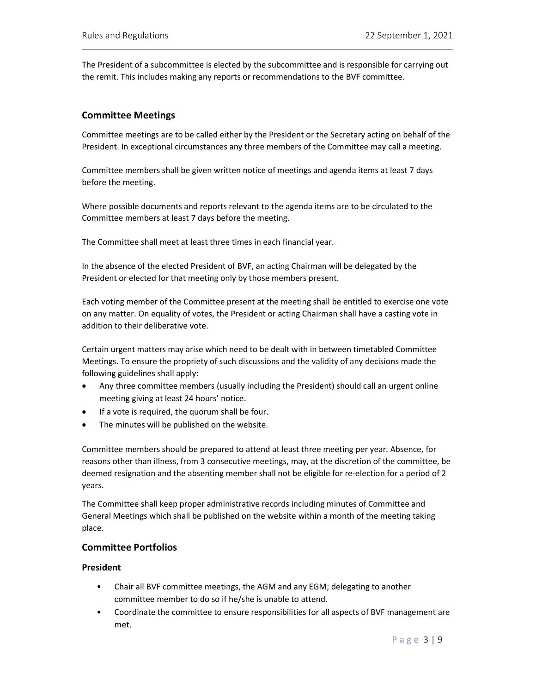The President of a subcommittee is elected by the subcommittee and is responsible for carrying out the remit. This includes making any reports or recommendations to the BVF committee.

# Committee Meetings

Committee meetings are to be called either by the President or the Secretary acting on behalf of the President. In exceptional circumstances any three members of the Committee may call a meeting.

Committee members shall be given written notice of meetings and agenda items at least 7 days before the meeting.

Where possible documents and reports relevant to the agenda items are to be circulated to the Committee members at least 7 days before the meeting.

The Committee shall meet at least three times in each financial year.

In the absence of the elected President of BVF, an acting Chairman will be delegated by the President or elected for that meeting only by those members present.

Each voting member of the Committee present at the meeting shall be entitled to exercise one vote on any matter. On equality of votes, the President or acting Chairman shall have a casting vote in addition to their deliberative vote.

Certain urgent matters may arise which need to be dealt with in between timetabled Committee Meetings. To ensure the propriety of such discussions and the validity of any decisions made the following guidelines shall apply:

- Any three committee members (usually including the President) should call an urgent online meeting giving at least 24 hours' notice.
- If a vote is required, the quorum shall be four.
- The minutes will be published on the website.

Committee members should be prepared to attend at least three meeting per year. Absence, for reasons other than illness, from 3 consecutive meetings, may, at the discretion of the committee, be deemed resignation and the absenting member shall not be eligible for re-election for a period of 2 years.

The Committee shall keep proper administrative records including minutes of Committee and General Meetings which shall be published on the website within a month of the meeting taking place.

## Committee Portfolios

#### President

- Chair all BVF committee meetings, the AGM and any EGM; delegating to another committee member to do so if he/she is unable to attend.
- Coordinate the committee to ensure responsibilities for all aspects of BVF management are met.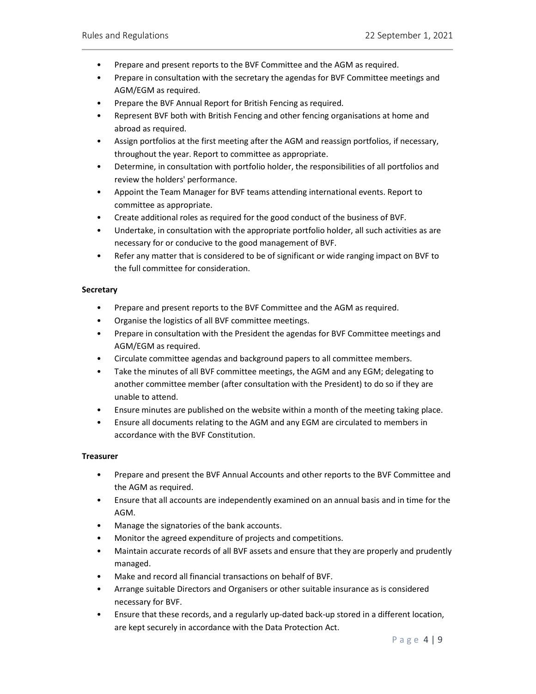- Prepare and present reports to the BVF Committee and the AGM as required.
- Prepare in consultation with the secretary the agendas for BVF Committee meetings and AGM/EGM as required.
- Prepare the BVF Annual Report for British Fencing as required.
- Represent BVF both with British Fencing and other fencing organisations at home and abroad as required.
- Assign portfolios at the first meeting after the AGM and reassign portfolios, if necessary, throughout the year. Report to committee as appropriate.
- Determine, in consultation with portfolio holder, the responsibilities of all portfolios and review the holders' performance.
- Appoint the Team Manager for BVF teams attending international events. Report to committee as appropriate.
- Create additional roles as required for the good conduct of the business of BVF.
- Undertake, in consultation with the appropriate portfolio holder, all such activities as are necessary for or conducive to the good management of BVF.
- Refer any matter that is considered to be of significant or wide ranging impact on BVF to the full committee for consideration.

## **Secretary**

- Prepare and present reports to the BVF Committee and the AGM as required.
- Organise the logistics of all BVF committee meetings.
- Prepare in consultation with the President the agendas for BVF Committee meetings and AGM/EGM as required.
- Circulate committee agendas and background papers to all committee members.
- Take the minutes of all BVF committee meetings, the AGM and any EGM; delegating to another committee member (after consultation with the President) to do so if they are unable to attend.
- Ensure minutes are published on the website within a month of the meeting taking place.
- Ensure all documents relating to the AGM and any EGM are circulated to members in accordance with the BVF Constitution.

## **Treasurer**

- Prepare and present the BVF Annual Accounts and other reports to the BVF Committee and the AGM as required.
- Ensure that all accounts are independently examined on an annual basis and in time for the AGM.
- Manage the signatories of the bank accounts.
- Monitor the agreed expenditure of projects and competitions.
- Maintain accurate records of all BVF assets and ensure that they are properly and prudently managed.
- Make and record all financial transactions on behalf of BVF.
- Arrange suitable Directors and Organisers or other suitable insurance as is considered necessary for BVF.
- Ensure that these records, and a regularly up-dated back-up stored in a different location, are kept securely in accordance with the Data Protection Act.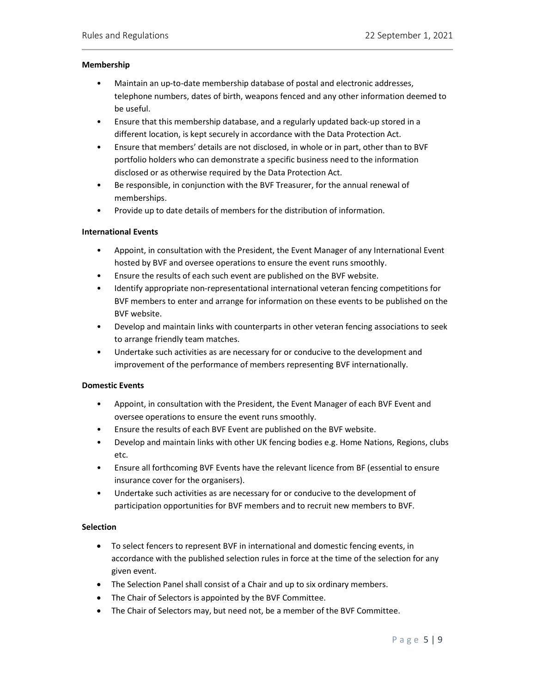#### Membership

- Maintain an up-to-date membership database of postal and electronic addresses, telephone numbers, dates of birth, weapons fenced and any other information deemed to be useful.
- Ensure that this membership database, and a regularly updated back-up stored in a different location, is kept securely in accordance with the Data Protection Act.
- Ensure that members' details are not disclosed, in whole or in part, other than to BVF portfolio holders who can demonstrate a specific business need to the information disclosed or as otherwise required by the Data Protection Act.
- Be responsible, in conjunction with the BVF Treasurer, for the annual renewal of memberships.
- Provide up to date details of members for the distribution of information.

### International Events

- Appoint, in consultation with the President, the Event Manager of any International Event hosted by BVF and oversee operations to ensure the event runs smoothly.
- Ensure the results of each such event are published on the BVF website.
- Identify appropriate non-representational international veteran fencing competitions for BVF members to enter and arrange for information on these events to be published on the BVF website.
- Develop and maintain links with counterparts in other veteran fencing associations to seek to arrange friendly team matches.
- Undertake such activities as are necessary for or conducive to the development and improvement of the performance of members representing BVF internationally.

## Domestic Events

- Appoint, in consultation with the President, the Event Manager of each BVF Event and oversee operations to ensure the event runs smoothly.
- Ensure the results of each BVF Event are published on the BVF website.
- Develop and maintain links with other UK fencing bodies e.g. Home Nations, Regions, clubs etc.
- Ensure all forthcoming BVF Events have the relevant licence from BF (essential to ensure insurance cover for the organisers).
- Undertake such activities as are necessary for or conducive to the development of participation opportunities for BVF members and to recruit new members to BVF.

## **Selection**

- To select fencers to represent BVF in international and domestic fencing events, in accordance with the published selection rules in force at the time of the selection for any given event.
- The Selection Panel shall consist of a Chair and up to six ordinary members.
- The Chair of Selectors is appointed by the BVF Committee.
- The Chair of Selectors may, but need not, be a member of the BVF Committee.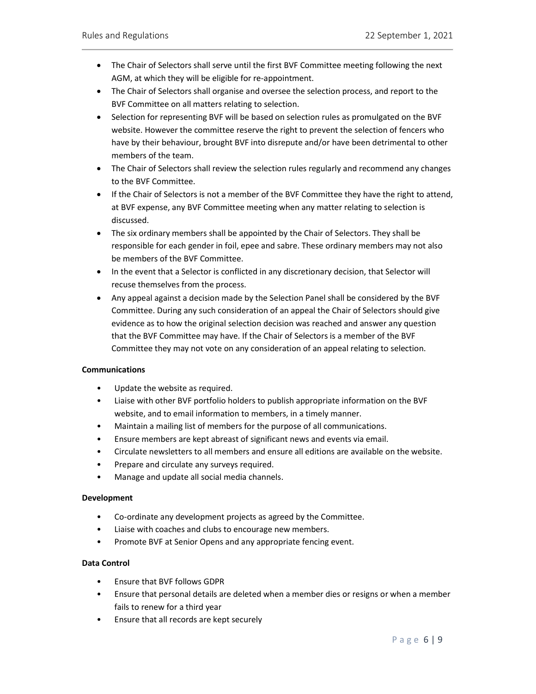- The Chair of Selectors shall serve until the first BVF Committee meeting following the next AGM, at which they will be eligible for re-appointment.
- The Chair of Selectors shall organise and oversee the selection process, and report to the BVF Committee on all matters relating to selection.
- Selection for representing BVF will be based on selection rules as promulgated on the BVF website. However the committee reserve the right to prevent the selection of fencers who have by their behaviour, brought BVF into disrepute and/or have been detrimental to other members of the team.
- The Chair of Selectors shall review the selection rules regularly and recommend any changes to the BVF Committee.
- If the Chair of Selectors is not a member of the BVF Committee they have the right to attend, at BVF expense, any BVF Committee meeting when any matter relating to selection is discussed.
- The six ordinary members shall be appointed by the Chair of Selectors. They shall be responsible for each gender in foil, epee and sabre. These ordinary members may not also be members of the BVF Committee.
- In the event that a Selector is conflicted in any discretionary decision, that Selector will recuse themselves from the process.
- Any appeal against a decision made by the Selection Panel shall be considered by the BVF Committee. During any such consideration of an appeal the Chair of Selectors should give evidence as to how the original selection decision was reached and answer any question that the BVF Committee may have. If the Chair of Selectors is a member of the BVF Committee they may not vote on any consideration of an appeal relating to selection.

## Communications

- Update the website as required.
- Liaise with other BVF portfolio holders to publish appropriate information on the BVF website, and to email information to members, in a timely manner.
- Maintain a mailing list of members for the purpose of all communications.
- Ensure members are kept abreast of significant news and events via email.
- Circulate newsletters to all members and ensure all editions are available on the website.
- Prepare and circulate any surveys required.
- Manage and update all social media channels.

## Development

- Co-ordinate any development projects as agreed by the Committee.
- Liaise with coaches and clubs to encourage new members.
- Promote BVF at Senior Opens and any appropriate fencing event.

## Data Control

- Ensure that BVF follows GDPR
- Ensure that personal details are deleted when a member dies or resigns or when a member fails to renew for a third year
- Ensure that all records are kept securely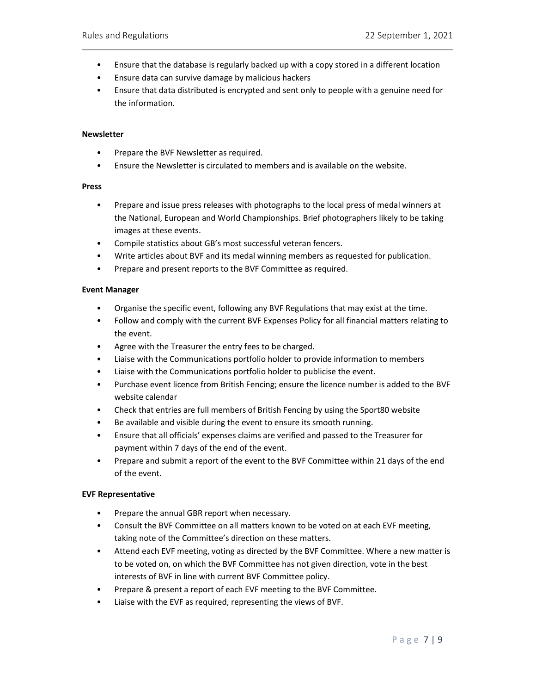- Ensure that the database is regularly backed up with a copy stored in a different location
- Ensure data can survive damage by malicious hackers
- Ensure that data distributed is encrypted and sent only to people with a genuine need for the information.

#### **Newsletter**

- Prepare the BVF Newsletter as required.
- Ensure the Newsletter is circulated to members and is available on the website.

#### Press

- Prepare and issue press releases with photographs to the local press of medal winners at the National, European and World Championships. Brief photographers likely to be taking images at these events.
- Compile statistics about GB's most successful veteran fencers.
- Write articles about BVF and its medal winning members as requested for publication.
- Prepare and present reports to the BVF Committee as required.

#### Event Manager

- Organise the specific event, following any BVF Regulations that may exist at the time.
- Follow and comply with the current BVF Expenses Policy for all financial matters relating to the event.
- Agree with the Treasurer the entry fees to be charged.
- Liaise with the Communications portfolio holder to provide information to members
- Liaise with the Communications portfolio holder to publicise the event.
- Purchase event licence from British Fencing; ensure the licence number is added to the BVF website calendar
- Check that entries are full members of British Fencing by using the Sport80 website
- Be available and visible during the event to ensure its smooth running.
- Ensure that all officials' expenses claims are verified and passed to the Treasurer for payment within 7 days of the end of the event.
- Prepare and submit a report of the event to the BVF Committee within 21 days of the end of the event.

#### EVF Representative

- Prepare the annual GBR report when necessary.
- Consult the BVF Committee on all matters known to be voted on at each EVF meeting, taking note of the Committee's direction on these matters.
- Attend each EVF meeting, voting as directed by the BVF Committee. Where a new matter is to be voted on, on which the BVF Committee has not given direction, vote in the best interests of BVF in line with current BVF Committee policy.
- Prepare & present a report of each EVF meeting to the BVF Committee.
- Liaise with the EVF as required, representing the views of BVF.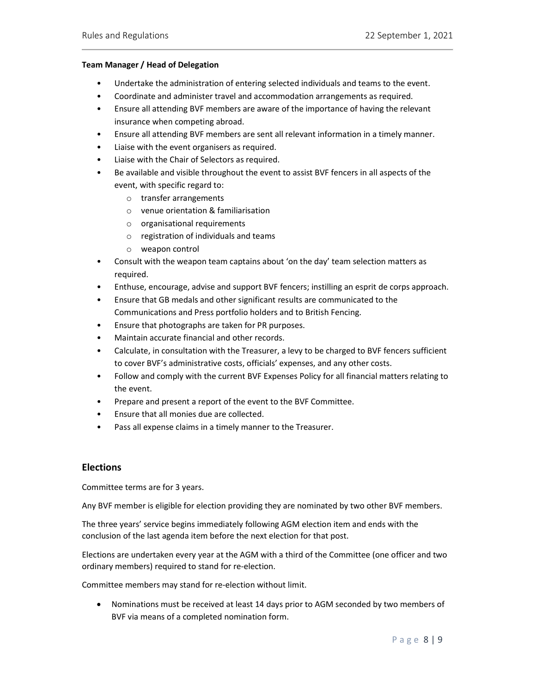#### Team Manager / Head of Delegation

- Undertake the administration of entering selected individuals and teams to the event.
- Coordinate and administer travel and accommodation arrangements as required.
- Ensure all attending BVF members are aware of the importance of having the relevant insurance when competing abroad.
- Ensure all attending BVF members are sent all relevant information in a timely manner.
- Liaise with the event organisers as required.
- Liaise with the Chair of Selectors as required.
- Be available and visible throughout the event to assist BVF fencers in all aspects of the event, with specific regard to:
	- o transfer arrangements
	- o venue orientation & familiarisation
	- o organisational requirements
	- o registration of individuals and teams
	- o weapon control
- Consult with the weapon team captains about 'on the day' team selection matters as required.
- Enthuse, encourage, advise and support BVF fencers; instilling an esprit de corps approach.
- Ensure that GB medals and other significant results are communicated to the Communications and Press portfolio holders and to British Fencing.
- Ensure that photographs are taken for PR purposes.
- Maintain accurate financial and other records.
- Calculate, in consultation with the Treasurer, a levy to be charged to BVF fencers sufficient to cover BVF's administrative costs, officials' expenses, and any other costs.
- Follow and comply with the current BVF Expenses Policy for all financial matters relating to the event.
- Prepare and present a report of the event to the BVF Committee.
- Ensure that all monies due are collected.
- Pass all expense claims in a timely manner to the Treasurer.

## **Elections**

Committee terms are for 3 years.

Any BVF member is eligible for election providing they are nominated by two other BVF members.

The three years' service begins immediately following AGM election item and ends with the conclusion of the last agenda item before the next election for that post.

Elections are undertaken every year at the AGM with a third of the Committee (one officer and two ordinary members) required to stand for re-election.

Committee members may stand for re-election without limit.

 Nominations must be received at least 14 days prior to AGM seconded by two members of BVF via means of a completed nomination form.